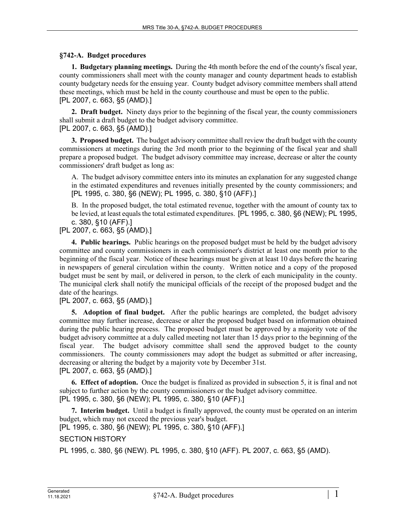## **§742-A. Budget procedures**

**1. Budgetary planning meetings.** During the 4th month before the end of the county's fiscal year, county commissioners shall meet with the county manager and county department heads to establish county budgetary needs for the ensuing year. County budget advisory committee members shall attend these meetings, which must be held in the county courthouse and must be open to the public. [PL 2007, c. 663, §5 (AMD).]

**2. Draft budget.** Ninety days prior to the beginning of the fiscal year, the county commissioners shall submit a draft budget to the budget advisory committee.

[PL 2007, c. 663, §5 (AMD).]

**3. Proposed budget.** The budget advisory committee shall review the draft budget with the county commissioners at meetings during the 3rd month prior to the beginning of the fiscal year and shall prepare a proposed budget. The budget advisory committee may increase, decrease or alter the county commissioners' draft budget as long as:

A. The budget advisory committee enters into its minutes an explanation for any suggested change in the estimated expenditures and revenues initially presented by the county commissioners; and [PL 1995, c. 380, §6 (NEW); PL 1995, c. 380, §10 (AFF).]

B. In the proposed budget, the total estimated revenue, together with the amount of county tax to be levied, at least equals the total estimated expenditures. [PL 1995, c. 380, §6 (NEW); PL 1995, c. 380, §10 (AFF).]

[PL 2007, c. 663, §5 (AMD).]

**4. Public hearings.** Public hearings on the proposed budget must be held by the budget advisory committee and county commissioners in each commissioner's district at least one month prior to the beginning of the fiscal year. Notice of these hearings must be given at least 10 days before the hearing in newspapers of general circulation within the county. Written notice and a copy of the proposed budget must be sent by mail, or delivered in person, to the clerk of each municipality in the county. The municipal clerk shall notify the municipal officials of the receipt of the proposed budget and the date of the hearings.

[PL 2007, c. 663, §5 (AMD).]

**5. Adoption of final budget.** After the public hearings are completed, the budget advisory committee may further increase, decrease or alter the proposed budget based on information obtained during the public hearing process. The proposed budget must be approved by a majority vote of the budget advisory committee at a duly called meeting not later than 15 days prior to the beginning of the fiscal year. The budget advisory committee shall send the approved budget to the county commissioners. The county commissioners may adopt the budget as submitted or after increasing, decreasing or altering the budget by a majority vote by December 31st. [PL 2007, c. 663, §5 (AMD).]

**6. Effect of adoption.** Once the budget is finalized as provided in subsection 5, it is final and not subject to further action by the county commissioners or the budget advisory committee. [PL 1995, c. 380, §6 (NEW); PL 1995, c. 380, §10 (AFF).]

**7. Interim budget.** Until a budget is finally approved, the county must be operated on an interim budget, which may not exceed the previous year's budget.

[PL 1995, c. 380, §6 (NEW); PL 1995, c. 380, §10 (AFF).]

## SECTION HISTORY

PL 1995, c. 380, §6 (NEW). PL 1995, c. 380, §10 (AFF). PL 2007, c. 663, §5 (AMD).